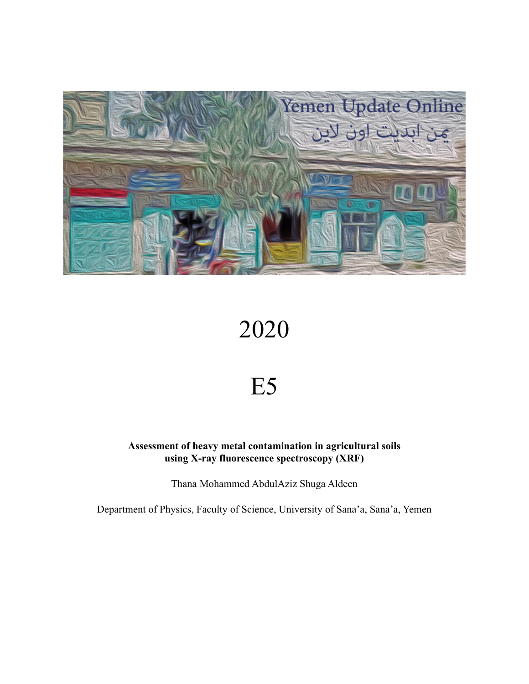

# 2020

## E5

**Assessment of heavy metal contamination in agricultural soils using X-ray fluorescence spectroscopy (XRF)**

Thana Mohammed AbdulAziz Shuga Aldeen

Department of Physics, Faculty of Science, University of Sana'a, Sana'a, Yemen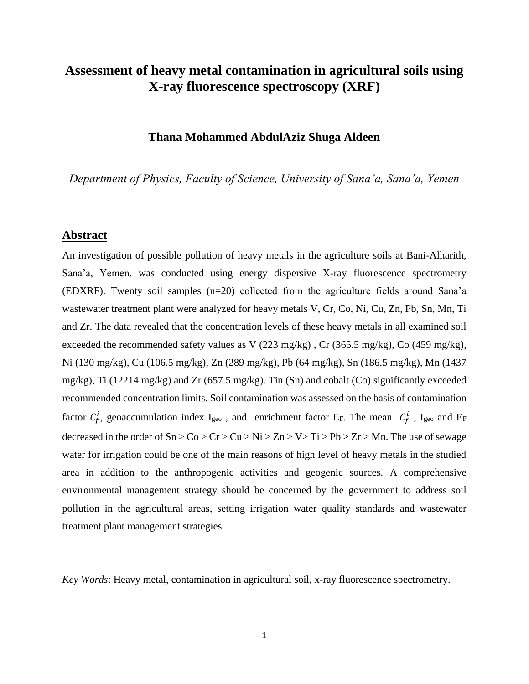## **Assessment of heavy metal contamination in agricultural soils using X-ray fluorescence spectroscopy (XRF)**

#### **Thana Mohammed AbdulAziz Shuga Aldeen**

*Department of Physics, Faculty of Science, University of Sana'a, Sana'a, Yemen*

#### **Abstract**

An investigation of possible pollution of heavy metals in the agriculture soils at Bani-Alharith, Sana'a, Yemen. was conducted using energy dispersive X-ray fluorescence spectrometry (EDXRF). Twenty soil samples (n=20) collected from the agriculture fields around Sana'a wastewater treatment plant were analyzed for heavy metals V, Cr, Co, Ni, Cu, Zn, Pb, Sn, Mn, Ti and Zr. The data revealed that the concentration levels of these heavy metals in all examined soil exceeded the recommended safety values as V (223 mg/kg) , Cr (365.5 mg/kg), Co (459 mg/kg), Ni (130 mg/kg), Cu (106.5 mg/kg), Zn (289 mg/kg), Pb (64 mg/kg), Sn (186.5 mg/kg), Mn (1437 mg/kg), Ti (12214 mg/kg) and Zr (657.5 mg/kg). Tin (Sn) and cobalt (Co) significantly exceeded recommended concentration limits. Soil contamination was assessed on the basis of contamination factor  $C_f^i$ , geoaccumulation index I<sub>geo</sub>, and enrichment factor E<sub>F</sub>. The mean  $C_f^i$ , I<sub>geo</sub> and E<sub>F</sub> decreased in the order of  $Sn > Co > Cr > Cu > Ni > Zn > V > Ti > Pb > Zr > Mn$ . The use of sewage water for irrigation could be one of the main reasons of high level of heavy metals in the studied area in addition to the anthropogenic activities and geogenic sources. A comprehensive environmental management strategy should be concerned by the government to address soil pollution in the agricultural areas, setting irrigation water quality standards and wastewater treatment plant management strategies.

*Key Words*: Heavy metal, contamination in agricultural soil, x-ray fluorescence spectrometry.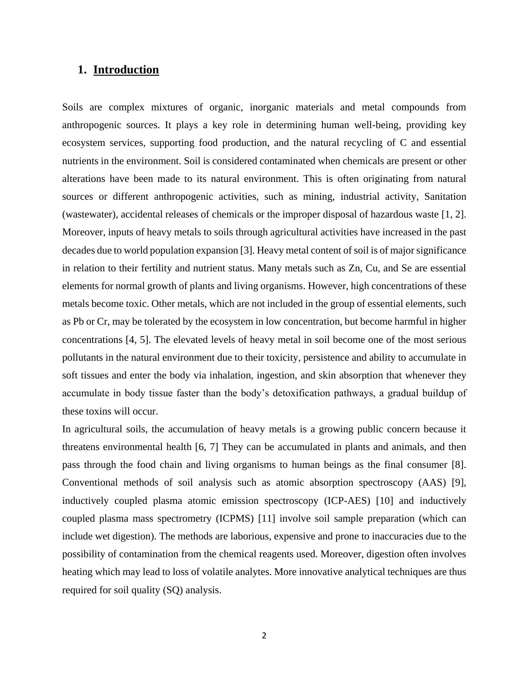## **1. Introduction**

Soils are complex mixtures of organic, inorganic materials and metal compounds from anthropogenic sources. It plays a key role in determining human well-being, providing key ecosystem services, supporting food production, and the natural recycling of C and essential nutrients in the environment. Soil is considered contaminated when chemicals are present or other alterations have been made to its natural environment. This is often originating from natural sources or different anthropogenic activities, such as mining, industrial activity, Sanitation (wastewater), accidental releases of chemicals or the improper disposal of hazardous waste [1, 2]. Moreover, inputs of heavy metals to soils through agricultural activities have increased in the past decades due to world population expansion [3]. Heavy metal content of soil is of major significance in relation to their fertility and nutrient status. Many metals such as Zn, Cu, and Se are essential elements for normal growth of plants and living organisms. However, high concentrations of these metals become toxic. Other metals, which are not included in the group of essential elements, such as Pb or Cr, may be tolerated by the ecosystem in low concentration, but become harmful in higher concentrations [4, 5]. The elevated levels of heavy metal in soil become one of the most serious pollutants in the natural environment due to their toxicity, persistence and ability to accumulate in soft tissues and enter the body via inhalation, ingestion, and skin absorption that whenever they accumulate in body tissue faster than the body's detoxification pathways, a gradual buildup of these toxins will occur.

In agricultural soils, the accumulation of heavy metals is a growing public concern because it threatens environmental health [6, 7] They can be accumulated in plants and animals, and then pass through the food chain and living organisms to human beings as the final consumer [8]. Conventional methods of soil analysis such as atomic absorption spectroscopy (AAS) [9], inductively coupled plasma atomic emission spectroscopy (ICP-AES) [10] and inductively coupled plasma mass spectrometry (ICPMS) [11] involve soil sample preparation (which can include wet digestion). The methods are laborious, expensive and prone to inaccuracies due to the possibility of contamination from the chemical reagents used. Moreover, digestion often involves heating which may lead to loss of volatile analytes. More innovative analytical techniques are thus required for soil quality (SQ) analysis.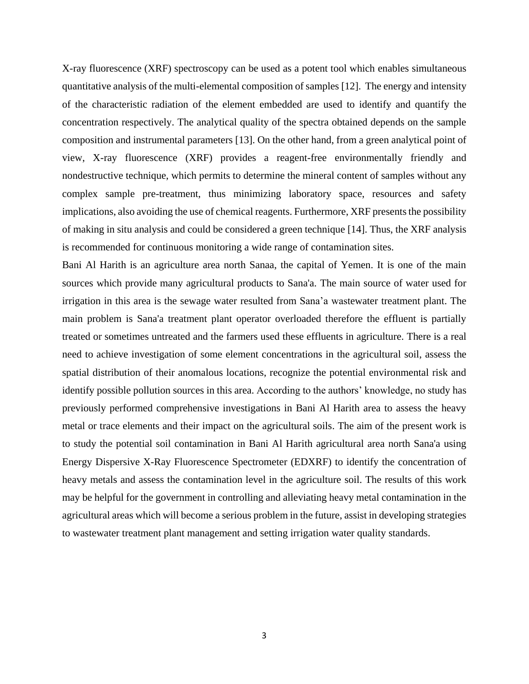X-ray fluorescence (XRF) spectroscopy can be used as a potent tool which enables simultaneous quantitative analysis of the multi-elemental composition of samples [12]. The energy and intensity of the characteristic radiation of the element embedded are used to identify and quantify the concentration respectively. The analytical quality of the spectra obtained depends on the sample composition and instrumental parameters [13]. On the other hand, from a green analytical point of view, X-ray fluorescence (XRF) provides a reagent-free environmentally friendly and nondestructive technique, which permits to determine the mineral content of samples without any complex sample pre-treatment, thus minimizing laboratory space, resources and safety implications, also avoiding the use of chemical reagents. Furthermore, XRF presents the possibility of making in situ analysis and could be considered a green technique [14]. Thus, the XRF analysis is recommended for continuous monitoring a wide range of contamination sites.

Bani Al Harith is an agriculture area north Sanaa, the capital of Yemen. It is one of the main sources which provide many agricultural products to Sana'a. The main source of water used for irrigation in this area is the sewage water resulted from Sana'a wastewater treatment plant. The main problem is Sana'a treatment plant operator overloaded therefore the effluent is partially treated or sometimes untreated and the farmers used these effluents in agriculture. There is a real need to achieve investigation of some element concentrations in the agricultural soil, assess the spatial distribution of their anomalous locations, recognize the potential environmental risk and identify possible pollution sources in this area. According to the authors' knowledge, no study has previously performed comprehensive investigations in Bani Al Harith area to assess the heavy metal or trace elements and their impact on the agricultural soils. The aim of the present work is to study the potential soil contamination in Bani Al Harith agricultural area north Sana'a using Energy Dispersive X-Ray Fluorescence Spectrometer (EDXRF) to identify the concentration of heavy metals and assess the contamination level in the agriculture soil. The results of this work may be helpful for the government in controlling and alleviating heavy metal contamination in the agricultural areas which will become a serious problem in the future, assist in developing strategies to wastewater treatment plant management and setting irrigation water quality standards.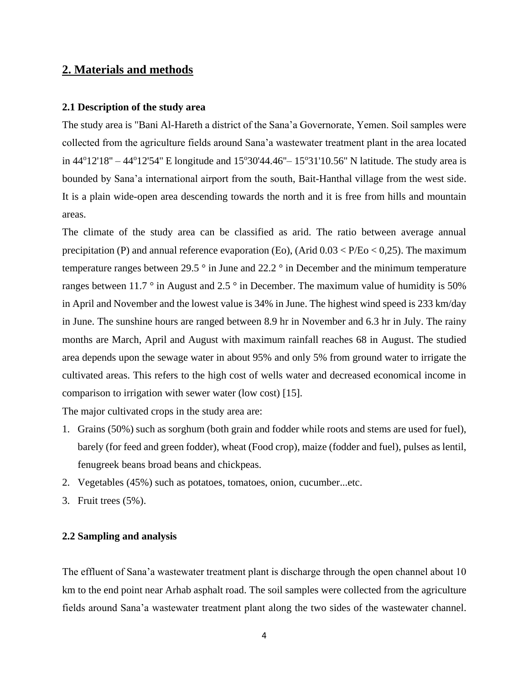## **2. Materials and methods**

#### **2.1 Description of the study area**

The study area is "Bani Al-Hareth a district of the Sana'a Governorate, Yemen. Soil samples were collected from the agriculture fields around Sana'a wastewater treatment plant in the area located in  $44^{\circ}12'18'' - 44^{\circ}12'54''$  E longitude and  $15^{\circ}30'44.46'' - 15^{\circ}31'10.56''$  N latitude. The study area is bounded by Sana'a international airport from the south, Bait-Hanthal village from the west side. It is a plain wide-open area descending towards the north and it is free from hills and mountain areas.

The climate of the study area can be classified as arid. The ratio between average annual precipitation (P) and annual reference evaporation (Eo), (Arid  $0.03 < P/Eo < 0.25$ ). The maximum temperature ranges between 29.5  $\degree$  in June and 22.2  $\degree$  in December and the minimum temperature ranges between 11.7  $\degree$  in August and 2.5  $\degree$  in December. The maximum value of humidity is 50% in April and November and the lowest value is 34% in June. The highest wind speed is 233 km/day in June. The sunshine hours are ranged between 8.9 hr in November and 6.3 hr in July. The rainy months are March, April and August with maximum rainfall reaches 68 in August. The studied area depends upon the sewage water in about 95% and only 5% from ground water to irrigate the cultivated areas. This refers to the high cost of wells water and decreased economical income in comparison to irrigation with sewer water (low cost) [15].

The major cultivated crops in the study area are:

- 1. Grains (50%) such as sorghum (both grain and fodder while roots and stems are used for fuel), barely (for feed and green fodder), wheat (Food crop), maize (fodder and fuel), pulses as lentil, fenugreek beans broad beans and chickpeas.
- 2. Vegetables (45%) such as potatoes, tomatoes, onion, cucumber...etc.
- 3. Fruit trees (5%).

#### **2.2 Sampling and analysis**

The effluent of Sana'a wastewater treatment plant is discharge through the open channel about 10 km to the end point near Arhab asphalt road. The soil samples were collected from the agriculture fields around Sana'a wastewater treatment plant along the two sides of the wastewater channel.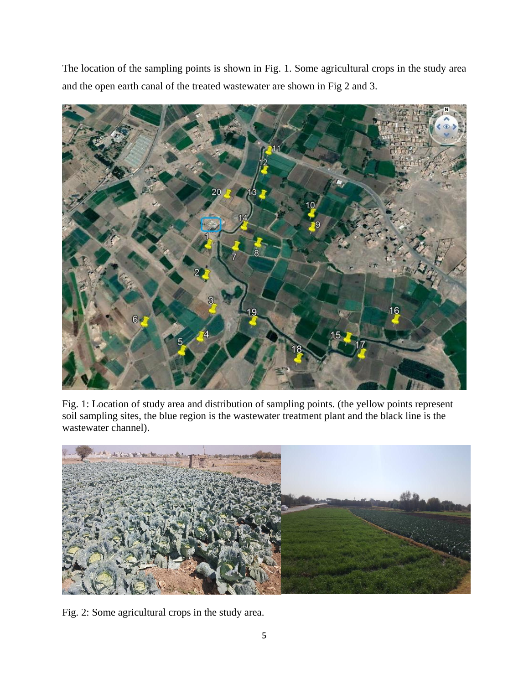The location of the sampling points is shown in Fig. 1. Some agricultural crops in the study area and the open earth canal of the treated wastewater are shown in Fig 2 and 3.



Fig. 1: Location of study area and distribution of sampling points. (the yellow points represent soil sampling sites, the blue region is the wastewater treatment plant and the black line is the wastewater channel).



Fig. 2: Some agricultural crops in the study area.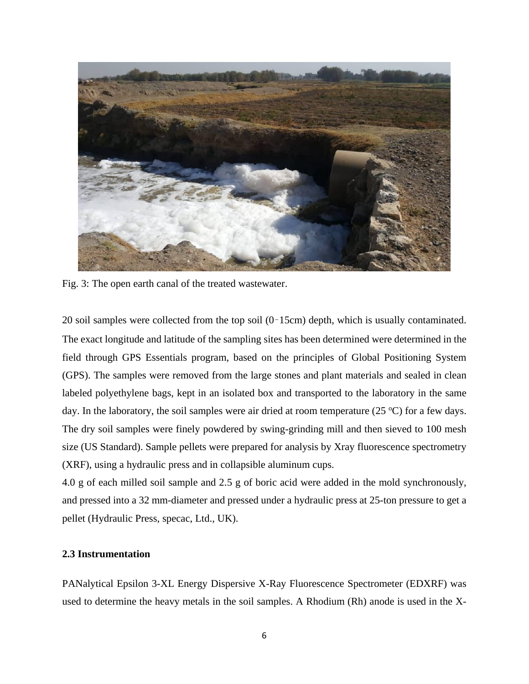

Fig. 3: The open earth canal of the treated wastewater.

20 soil samples were collected from the top soil (0–15cm) depth, which is usually contaminated. The exact longitude and latitude of the sampling sites has been determined were determined in the field through GPS Essentials program, based on the principles of Global Positioning System (GPS). The samples were removed from the large stones and plant materials and sealed in clean labeled polyethylene bags, kept in an isolated box and transported to the laboratory in the same day. In the laboratory, the soil samples were air dried at room temperature  $(25 °C)$  for a few days. The dry soil samples were finely powdered by swing-grinding mill and then sieved to 100 mesh size (US Standard). Sample pellets were prepared for analysis by Xray fluorescence spectrometry (XRF), using a hydraulic press and in collapsible aluminum cups.

4.0 g of each milled soil sample and 2.5 g of boric acid were added in the mold synchronously, and pressed into a 32 mm-diameter and pressed under a hydraulic press at 25-ton pressure to get a pellet (Hydraulic Press, specac, Ltd., UK).

#### **2.3 Instrumentation**

PANalytical Epsilon 3-XL Energy Dispersive X-Ray Fluorescence Spectrometer (EDXRF) was used to determine the heavy metals in the soil samples. A Rhodium (Rh) anode is used in the X-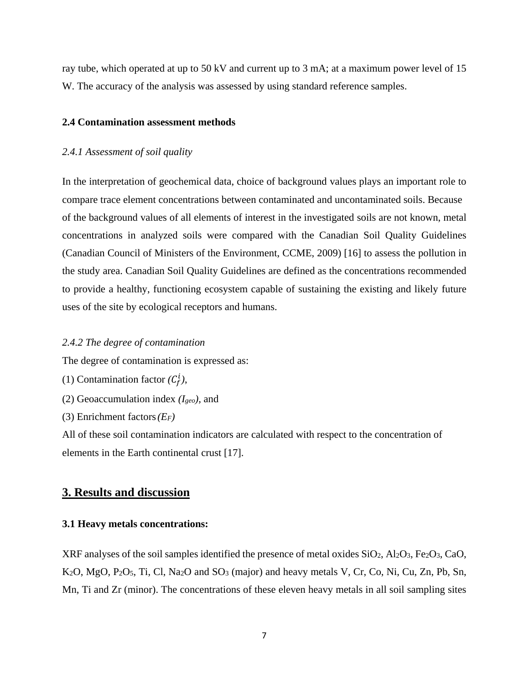ray tube, which operated at up to 50 kV and current up to 3 mA; at a maximum power level of 15 W. The accuracy of the analysis was assessed by using standard reference samples.

#### **2.4 Contamination assessment methods**

#### *2.4.1 Assessment of soil quality*

In the interpretation of geochemical data, choice of background values plays an important role to compare trace element concentrations between contaminated and uncontaminated soils. Because of the background values of all elements of interest in the investigated soils are not known, metal concentrations in analyzed soils were compared with the Canadian Soil Quality Guidelines (Canadian Council of Ministers of the Environment, CCME, 2009) [16] to assess the pollution in the study area. Canadian Soil Quality Guidelines are defined as the concentrations recommended to provide a healthy, functioning ecosystem capable of sustaining the existing and likely future uses of the site by ecological receptors and humans.

#### *2.4.2 The degree of contamination*

The degree of contamination is expressed as:

(1) Contamination factor  $(C_f^i)$ ,

- (2) Geoaccumulation index *(Igeo),* and
- (3) Enrichment factors*(EF)*

All of these soil contamination indicators are calculated with respect to the concentration of elements in the Earth continental crust [17].

#### **3. Results and discussion**

#### **3.1 Heavy metals concentrations:**

XRF analyses of the soil samples identified the presence of metal oxides  $SiO<sub>2</sub>$ ,  $Ai<sub>2</sub>O<sub>3</sub>$ ,  $Fe<sub>2</sub>O<sub>3</sub>$ ,  $CaO$ , K2O, MgO, P2O5, Ti, Cl, Na2O and SO<sup>3</sup> (major) and heavy metals V, Cr, Co, Ni, Cu, Zn, Pb, Sn, Mn, Ti and Zr (minor). The concentrations of these eleven heavy metals in all soil sampling sites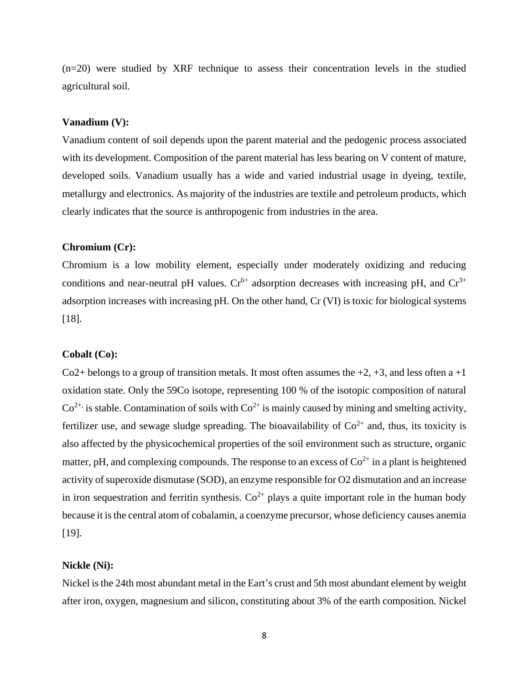(n=20) were studied by XRF technique to assess their concentration levels in the studied agricultural soil.

#### **Vanadium (V):**

Vanadium content of soil depends upon the parent material and the pedogenic process associated with its development. Composition of the parent material has less bearing on V content of mature, developed soils. Vanadium usually has a wide and varied industrial usage in dyeing, textile, metallurgy and electronics. As majority of the industries are textile and petroleum products, which clearly indicates that the source is anthropogenic from industries in the area.

#### **Chromium (Cr):**

Chromium is a low mobility element, especially under moderately oxidizing and reducing conditions and near-neutral pH values.  $Cr^{6+}$  adsorption decreases with increasing pH, and  $Cr^{3+}$ adsorption increases with increasing pH. On the other hand, Cr (VI) is toxic for biological systems [18].

#### **Cobalt (Co):**

Co2+ belongs to a group of transition metals. It most often assumes the  $+2$ ,  $+3$ , and less often a  $+1$ oxidation state. Only the 59Co isotope, representing 100 % of the isotopic composition of natural  $Co^{2+}$  is stable. Contamination of soils with  $Co^{2+}$  is mainly caused by mining and smelting activity, fertilizer use, and sewage sludge spreading. The bioavailability of  $Co^{2+}$  and, thus, its toxicity is also affected by the physicochemical properties of the soil environment such as structure, organic matter, pH, and complexing compounds. The response to an excess of  $Co^{2+}$  in a plant is heightened activity of superoxide dismutase (SOD), an enzyme responsible for O2 dismutation and an increase in iron sequestration and ferritin synthesis.  $Co^{2+}$  plays a quite important role in the human body because it is the central atom of cobalamin, a coenzyme precursor, whose deficiency causes anemia [19].

#### **Nickle (Ni):**

Nickel is the 24th most abundant metal in the Eart's crust and 5th most abundant element by weight after iron, oxygen, magnesium and silicon, constituting about 3% of the earth composition. Nickel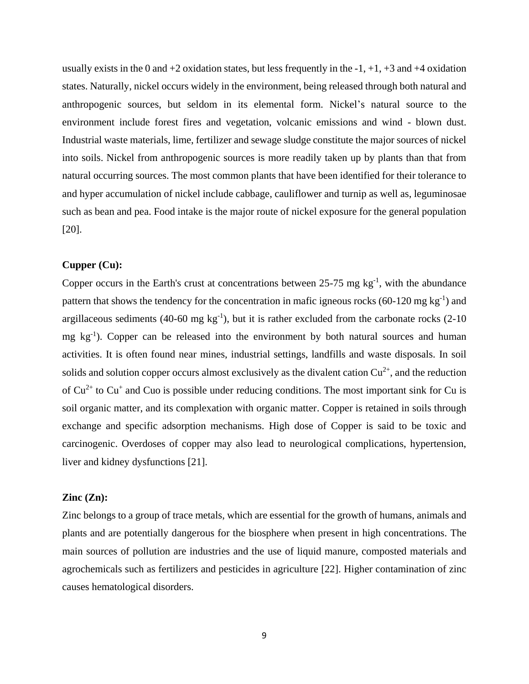usually exists in the 0 and  $+2$  oxidation states, but less frequently in the  $-1$ ,  $+1$ ,  $+3$  and  $+4$  oxidation states. Naturally, nickel occurs widely in the environment, being released through both natural and anthropogenic sources, but seldom in its elemental form. Nickel's natural source to the environment include forest fires and vegetation, volcanic emissions and wind - blown dust. Industrial waste materials, lime, fertilizer and sewage sludge constitute the major sources of nickel into soils. Nickel from anthropogenic sources is more readily taken up by plants than that from natural occurring sources. The most common plants that have been identified for their tolerance to and hyper accumulation of nickel include cabbage, cauliflower and turnip as well as, leguminosae such as bean and pea. Food intake is the major route of nickel exposure for the general population [20].

#### **Cupper (Cu):**

Copper occurs in the Earth's crust at concentrations between  $25-75$  mg kg<sup>-1</sup>, with the abundance pattern that shows the tendency for the concentration in mafic igneous rocks  $(60-120 \text{ mg kg}^{-1})$  and argillaceous sediments  $(40\n-60 \text{ mg kg}^{-1})$ , but it is rather excluded from the carbonate rocks  $(2\n-10$ mg  $kg^{-1}$ ). Copper can be released into the environment by both natural sources and human activities. It is often found near mines, industrial settings, landfills and waste disposals. In soil solids and solution copper occurs almost exclusively as the divalent cation  $Cu^{2+}$ , and the reduction of  $Cu^{2+}$  to  $Cu^{+}$  and Cuo is possible under reducing conditions. The most important sink for Cu is soil organic matter, and its complexation with organic matter. Copper is retained in soils through exchange and specific adsorption mechanisms. High dose of Copper is said to be toxic and carcinogenic. Overdoses of copper may also lead to neurological complications, hypertension, liver and kidney dysfunctions [21].

#### **Zinc (Zn):**

Zinc belongs to a group of trace metals, which are essential for the growth of humans, animals and plants and are potentially dangerous for the biosphere when present in high concentrations. The main sources of pollution are industries and the use of liquid manure, composted materials and agrochemicals such as fertilizers and pesticides in agriculture [22]. Higher contamination of zinc causes hematological disorders.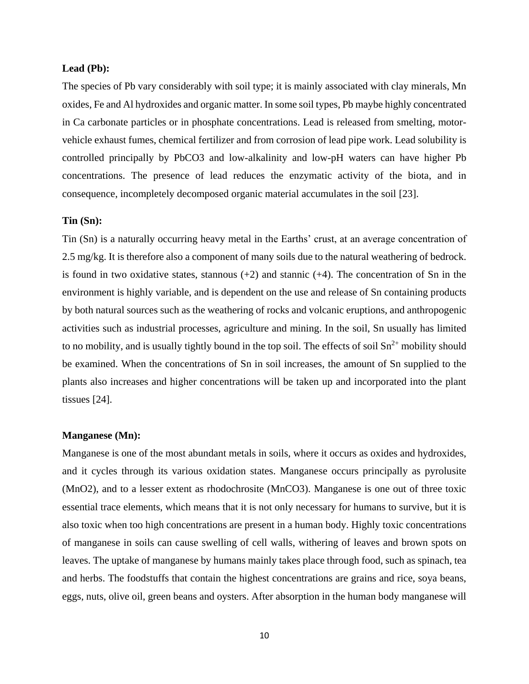#### **Lead (Pb):**

The species of Pb vary considerably with soil type; it is mainly associated with clay minerals, Mn oxides, Fe and Al hydroxides and organic matter. In some soil types, Pb maybe highly concentrated in Ca carbonate particles or in phosphate concentrations. Lead is released from smelting, motorvehicle exhaust fumes, chemical fertilizer and from corrosion of lead pipe work. Lead solubility is controlled principally by PbCO3 and low-alkalinity and low-pH waters can have higher Pb concentrations. The presence of lead reduces the enzymatic activity of the biota, and in consequence, incompletely decomposed organic material accumulates in the soil [23].

#### **Tin (Sn):**

Tin (Sn) is a naturally occurring heavy metal in the Earths' crust, at an average concentration of 2.5 mg/kg. It is therefore also a component of many soils due to the natural weathering of bedrock. is found in two oxidative states, stannous  $(+2)$  and stannic  $(+4)$ . The concentration of Sn in the environment is highly variable, and is dependent on the use and release of Sn containing products by both natural sources such as the weathering of rocks and volcanic eruptions, and anthropogenic activities such as industrial processes, agriculture and mining. In the soil, Sn usually has limited to no mobility, and is usually tightly bound in the top soil. The effects of soil  $\text{Sn}^{2+}$  mobility should be examined. When the concentrations of Sn in soil increases, the amount of Sn supplied to the plants also increases and higher concentrations will be taken up and incorporated into the plant tissues [24].

#### **Manganese (Mn):**

Manganese is one of the most abundant metals in soils, where it occurs as oxides and hydroxides, and it cycles through its various oxidation states. Manganese occurs principally as pyrolusite (MnO2), and to a lesser extent as rhodochrosite (MnCO3). Manganese is one out of three toxic essential trace elements, which means that it is not only necessary for humans to survive, but it is also toxic when too high concentrations are present in a human body. Highly toxic concentrations of manganese in soils can cause swelling of cell walls, withering of leaves and brown spots on leaves. The uptake of manganese by humans mainly takes place through food, such as spinach, tea and herbs. The foodstuffs that contain the highest concentrations are grains and rice, soya beans, eggs, nuts, olive oil, green beans and oysters. After absorption in the human body manganese will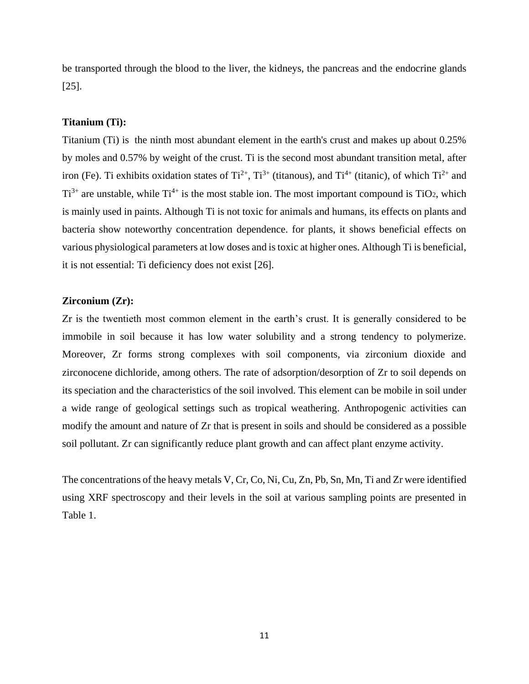be transported through the blood to the liver, the kidneys, the pancreas and the endocrine glands [25].

#### **Titanium (Ti):**

Titanium (Ti) is the ninth most abundant element in the earth's crust and makes up about 0.25% by moles and 0.57% by weight of the crust. Ti is the second most abundant transition metal, after iron (Fe). Ti exhibits oxidation states of  $Ti^{2+}$ ,  $Ti^{3+}$  (titanous), and  $Ti^{4+}$  (titanic), of which  $Ti^{2+}$  and  $Ti^{3+}$  are unstable, while  $Ti^{4+}$  is the most stable ion. The most important compound is  $TiO_2$ , which is mainly used in paints. Although Ti is not toxic for animals and humans, its effects on plants and bacteria show noteworthy concentration dependence. for plants, it shows beneficial effects on various physiological parameters at low doses and is toxic at higher ones. Although Ti is beneficial, it is not essential: Ti deficiency does not exist [26].

#### **Zirconium (Zr):**

Zr is the twentieth most common element in the earth's crust. It is generally considered to be immobile in soil because it has low water solubility and a strong tendency to polymerize. Moreover, Zr forms strong complexes with soil components, via zirconium dioxide and zirconocene dichloride, among others. The rate of adsorption/desorption of Zr to soil depends on its speciation and the characteristics of the soil involved. This element can be mobile in soil under a wide range of geological settings such as tropical weathering. Anthropogenic activities can modify the amount and nature of Zr that is present in soils and should be considered as a possible soil pollutant. Zr can significantly reduce plant growth and can affect plant enzyme activity.

The concentrations of the heavy metals V, Cr, Co, Ni, Cu, Zn, Pb, Sn, Mn, Ti and Zr were identified using XRF spectroscopy and their levels in the soil at various sampling points are presented in Table 1.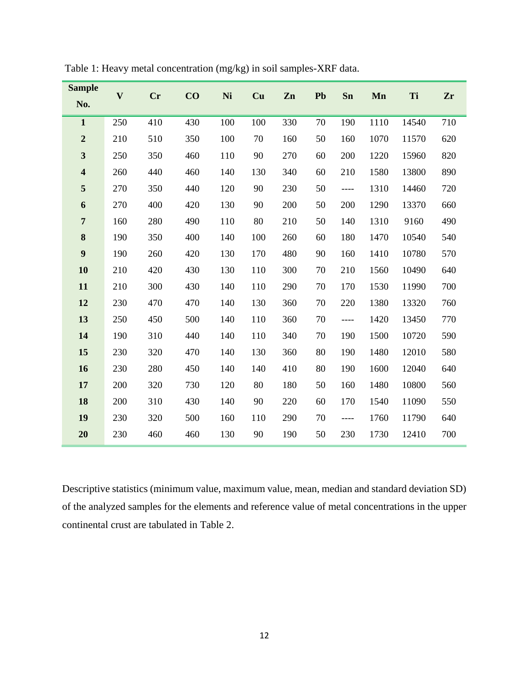| <b>Sample</b>           | $\overline{\mathbf{V}}$ | <b>Cr</b> | CO  | Ni  | Cu  | Zn  | Pb     | Sn    | Mn   | Ti    | Zr  |
|-------------------------|-------------------------|-----------|-----|-----|-----|-----|--------|-------|------|-------|-----|
| No.                     |                         |           |     |     |     |     |        |       |      |       |     |
| $\mathbf{1}$            | 250                     | 410       | 430 | 100 | 100 | 330 | 70     | 190   | 1110 | 14540 | 710 |
| $\boldsymbol{2}$        | 210                     | 510       | 350 | 100 | 70  | 160 | 50     | 160   | 1070 | 11570 | 620 |
| $\overline{\mathbf{3}}$ | 250                     | 350       | 460 | 110 | 90  | 270 | 60     | 200   | 1220 | 15960 | 820 |
| $\overline{\mathbf{4}}$ | 260                     | 440       | 460 | 140 | 130 | 340 | 60     | 210   | 1580 | 13800 | 890 |
| 5                       | 270                     | 350       | 440 | 120 | 90  | 230 | 50     | $---$ | 1310 | 14460 | 720 |
| 6                       | 270                     | 400       | 420 | 130 | 90  | 200 | 50     | 200   | 1290 | 13370 | 660 |
| $\overline{7}$          | 160                     | 280       | 490 | 110 | 80  | 210 | 50     | 140   | 1310 | 9160  | 490 |
| 8                       | 190                     | 350       | 400 | 140 | 100 | 260 | 60     | 180   | 1470 | 10540 | 540 |
| $\boldsymbol{9}$        | 190                     | 260       | 420 | 130 | 170 | 480 | 90     | 160   | 1410 | 10780 | 570 |
| 10                      | 210                     | 420       | 430 | 130 | 110 | 300 | 70     | 210   | 1560 | 10490 | 640 |
| 11                      | 210                     | 300       | 430 | 140 | 110 | 290 | 70     | 170   | 1530 | 11990 | 700 |
| 12                      | 230                     | 470       | 470 | 140 | 130 | 360 | $70\,$ | 220   | 1380 | 13320 | 760 |
| 13                      | 250                     | 450       | 500 | 140 | 110 | 360 | 70     | $---$ | 1420 | 13450 | 770 |
| 14                      | 190                     | 310       | 440 | 140 | 110 | 340 | 70     | 190   | 1500 | 10720 | 590 |
| 15                      | 230                     | 320       | 470 | 140 | 130 | 360 | 80     | 190   | 1480 | 12010 | 580 |
| 16                      | 230                     | 280       | 450 | 140 | 140 | 410 | 80     | 190   | 1600 | 12040 | 640 |
| 17                      | 200                     | 320       | 730 | 120 | 80  | 180 | 50     | 160   | 1480 | 10800 | 560 |
| 18                      | 200                     | 310       | 430 | 140 | 90  | 220 | 60     | 170   | 1540 | 11090 | 550 |
| 19                      | 230                     | 320       | 500 | 160 | 110 | 290 | 70     | $---$ | 1760 | 11790 | 640 |
| 20                      | 230                     | 460       | 460 | 130 | 90  | 190 | 50     | 230   | 1730 | 12410 | 700 |

Table 1: Heavy metal concentration (mg/kg) in soil samples-XRF data.

Descriptive statistics (minimum value, maximum value, mean, median and standard deviation SD) of the analyzed samples for the elements and reference value of metal concentrations in the upper continental crust are tabulated in Table 2.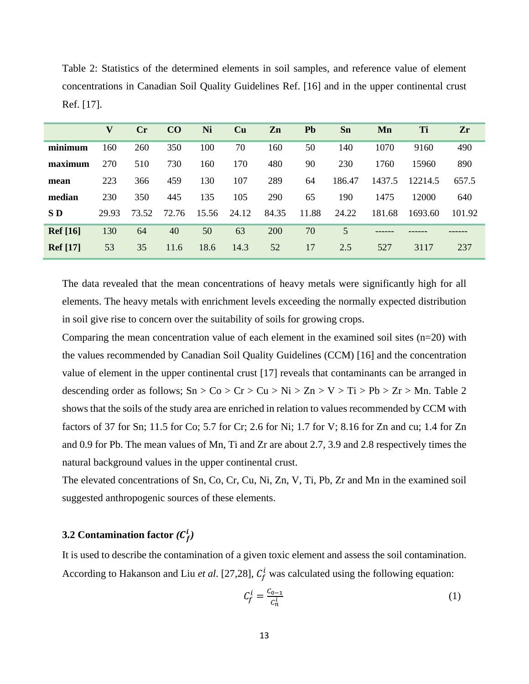|                 | V     | $\mathbf{C}$ r | CO    | Ni    | Cu    | Zn    | <b>Pb</b> | Sn     | Mn     | Ti      | Zr     |
|-----------------|-------|----------------|-------|-------|-------|-------|-----------|--------|--------|---------|--------|
| minimum         | 160   | 260            | 350   | 100   | 70    | 160   | 50        | 140    | 1070   | 9160    | 490    |
| maximum         | 270   | 510            | 730   | 160   | 170   | 480   | 90        | 230    | 1760   | 15960   | 890    |
| mean            | 223   | 366            | 459   | 130   | 107   | 289   | 64        | 186.47 | 1437.5 | 12214.5 | 657.5  |
| median          | 230   | 350            | 445   | 135   | 105   | 290   | 65        | 190    | 1475   | 12000   | 640    |
| SD              | 29.93 | 73.52          | 72.76 | 15.56 | 24.12 | 84.35 | 11.88     | 24.22  | 181.68 | 1693.60 | 101.92 |
| <b>Ref</b> [16] | 130   | 64             | 40    | 50    | 63    | 200   | 70        | 5      |        |         |        |
| <b>Ref</b> [17] | 53    | 35             | 11.6  | 18.6  | 14.3  | 52    | 17        | 2.5    | 527    | 3117    | 237    |

Table 2: Statistics of the determined elements in soil samples, and reference value of element concentrations in Canadian Soil Quality Guidelines Ref. [16] and in the upper continental crust Ref. [17].

The data revealed that the mean concentrations of heavy metals were significantly high for all elements. The heavy metals with enrichment levels exceeding the normally expected distribution in soil give rise to concern over the suitability of soils for growing crops.

Comparing the mean concentration value of each element in the examined soil sites  $(n=20)$  with the values recommended by Canadian Soil Quality Guidelines (CCM) [16] and the concentration value of element in the upper continental crust [17] reveals that contaminants can be arranged in descending order as follows;  $Sn > Co > Cr > Cu > Ni > Zn > V > Ti > Pb > Zr > Mn$ . Table 2 shows that the soils of the study area are enriched in relation to values recommended by CCM with factors of 37 for Sn; 11.5 for Co; 5.7 for Cr; 2.6 for Ni; 1.7 for V; 8.16 for Zn and cu; 1.4 for Zn and 0.9 for Pb. The mean values of Mn, Ti and Zr are about 2.7, 3.9 and 2.8 respectively times the natural background values in the upper continental crust.

The elevated concentrations of Sn, Co, Cr, Cu, Ni, Zn, V, Ti, Pb, Zr and Mn in the examined soil suggested anthropogenic sources of these elements.

## **3.2** Contamination factor  $(C_f^i)$

It is used to describe the contamination of a given toxic element and assess the soil contamination. According to Hakanson and Liu *et al.* [27,28],  $C_f^i$  was calculated using the following equation:

$$
\mathcal{C}_f^i = \frac{\mathcal{C}_{0-1}}{\mathcal{C}_n^i} \tag{1}
$$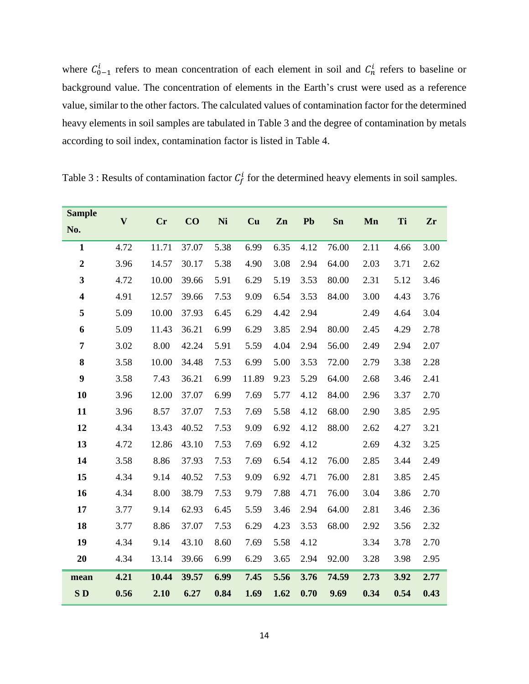where  $C_{0-1}^i$  refers to mean concentration of each element in soil and  $C_n^i$  refers to baseline or background value. The concentration of elements in the Earth's crust were used as a reference value, similar to the other factors. The calculated values of contamination factor for the determined heavy elements in soil samples are tabulated in Table 3 and the degree of contamination by metals according to soil index, contamination factor is listed in Table 4.

| <b>Sample</b>           | $\mathbf{V}$ |           |       |      |       |      |      |       |      |      |      |
|-------------------------|--------------|-----------|-------|------|-------|------|------|-------|------|------|------|
| No.                     |              | <b>Cr</b> | CO    | Ni   | Cu    | Zn   | Pb   | Sn    | Mn   | Ti   | Zr   |
| $\mathbf{1}$            | 4.72         | 11.71     | 37.07 | 5.38 | 6.99  | 6.35 | 4.12 | 76.00 | 2.11 | 4.66 | 3.00 |
| $\boldsymbol{2}$        | 3.96         | 14.57     | 30.17 | 5.38 | 4.90  | 3.08 | 2.94 | 64.00 | 2.03 | 3.71 | 2.62 |
| $\mathbf{3}$            | 4.72         | 10.00     | 39.66 | 5.91 | 6.29  | 5.19 | 3.53 | 80.00 | 2.31 | 5.12 | 3.46 |
| $\overline{\mathbf{4}}$ | 4.91         | 12.57     | 39.66 | 7.53 | 9.09  | 6.54 | 3.53 | 84.00 | 3.00 | 4.43 | 3.76 |
| 5                       | 5.09         | 10.00     | 37.93 | 6.45 | 6.29  | 4.42 | 2.94 |       | 2.49 | 4.64 | 3.04 |
| 6                       | 5.09         | 11.43     | 36.21 | 6.99 | 6.29  | 3.85 | 2.94 | 80.00 | 2.45 | 4.29 | 2.78 |
| 7                       | 3.02         | 8.00      | 42.24 | 5.91 | 5.59  | 4.04 | 2.94 | 56.00 | 2.49 | 2.94 | 2.07 |
| 8                       | 3.58         | 10.00     | 34.48 | 7.53 | 6.99  | 5.00 | 3.53 | 72.00 | 2.79 | 3.38 | 2.28 |
| $\boldsymbol{9}$        | 3.58         | 7.43      | 36.21 | 6.99 | 11.89 | 9.23 | 5.29 | 64.00 | 2.68 | 3.46 | 2.41 |
| 10                      | 3.96         | 12.00     | 37.07 | 6.99 | 7.69  | 5.77 | 4.12 | 84.00 | 2.96 | 3.37 | 2.70 |
| 11                      | 3.96         | 8.57      | 37.07 | 7.53 | 7.69  | 5.58 | 4.12 | 68.00 | 2.90 | 3.85 | 2.95 |
| 12                      | 4.34         | 13.43     | 40.52 | 7.53 | 9.09  | 6.92 | 4.12 | 88.00 | 2.62 | 4.27 | 3.21 |
| 13                      | 4.72         | 12.86     | 43.10 | 7.53 | 7.69  | 6.92 | 4.12 |       | 2.69 | 4.32 | 3.25 |
| 14                      | 3.58         | 8.86      | 37.93 | 7.53 | 7.69  | 6.54 | 4.12 | 76.00 | 2.85 | 3.44 | 2.49 |
| 15                      | 4.34         | 9.14      | 40.52 | 7.53 | 9.09  | 6.92 | 4.71 | 76.00 | 2.81 | 3.85 | 2.45 |
| 16                      | 4.34         | 8.00      | 38.79 | 7.53 | 9.79  | 7.88 | 4.71 | 76.00 | 3.04 | 3.86 | 2.70 |
| 17                      | 3.77         | 9.14      | 62.93 | 6.45 | 5.59  | 3.46 | 2.94 | 64.00 | 2.81 | 3.46 | 2.36 |
| 18                      | 3.77         | 8.86      | 37.07 | 7.53 | 6.29  | 4.23 | 3.53 | 68.00 | 2.92 | 3.56 | 2.32 |
| 19                      | 4.34         | 9.14      | 43.10 | 8.60 | 7.69  | 5.58 | 4.12 |       | 3.34 | 3.78 | 2.70 |
| 20                      | 4.34         | 13.14     | 39.66 | 6.99 | 6.29  | 3.65 | 2.94 | 92.00 | 3.28 | 3.98 | 2.95 |
| mean                    | 4.21         | 10.44     | 39.57 | 6.99 | 7.45  | 5.56 | 3.76 | 74.59 | 2.73 | 3.92 | 2.77 |
| SD                      | 0.56         | 2.10      | 6.27  | 0.84 | 1.69  | 1.62 | 0.70 | 9.69  | 0.34 | 0.54 | 0.43 |

Table 3 : Results of contamination factor  $C_f^i$  for the determined heavy elements in soil samples.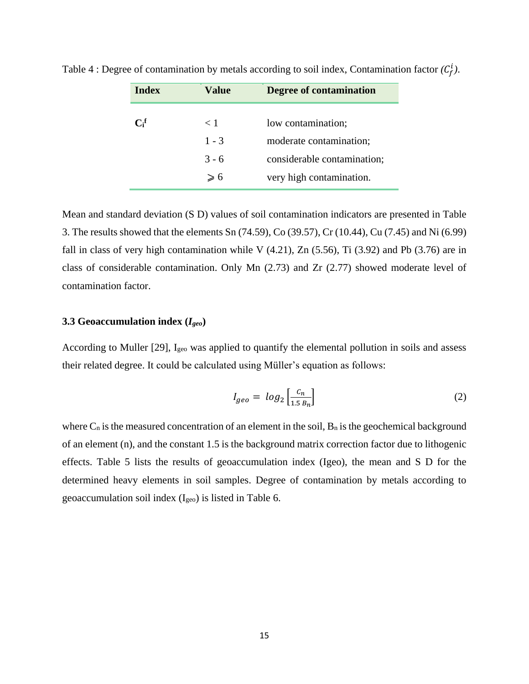| <b>Index</b>     | Value   | Degree of contamination     |
|------------------|---------|-----------------------------|
|                  |         |                             |
| $\mathbf{C_i^f}$ | $<$ 1   | low contamination;          |
|                  | $1 - 3$ | moderate contamination;     |
|                  | $3 - 6$ | considerable contamination; |
|                  | ≥ 6     | very high contamination.    |

Table 4 : Degree of contamination by metals according to soil index, Contamination factor  $(C_f^i)$ .

Mean and standard deviation (S D) values of soil contamination indicators are presented in Table 3. The results showed that the elements Sn (74.59), Co (39.57), Cr (10.44), Cu (7.45) and Ni (6.99) fall in class of very high contamination while V  $(4.21)$ , Zn  $(5.56)$ , Ti  $(3.92)$  and Pb  $(3.76)$  are in class of considerable contamination. Only Mn (2.73) and Zr (2.77) showed moderate level of contamination factor.

#### **3.3 Geoaccumulation index (***Igeo***)**

According to Muller [29], I<sub>geo</sub> was applied to quantify the elemental pollution in soils and assess their related degree. It could be calculated using Müller's equation as follows:

$$
I_{geo} = \log_2\left[\frac{c_n}{1.5 \, B_n}\right] \tag{2}
$$

where  $C_n$  is the measured concentration of an element in the soil,  $B_n$  is the geochemical background of an element (n), and the constant 1.5 is the background matrix correction factor due to lithogenic effects. Table 5 lists the results of geoaccumulation index (Igeo), the mean and S D for the determined heavy elements in soil samples. Degree of contamination by metals according to geoaccumulation soil index (Igeo) is listed in Table 6.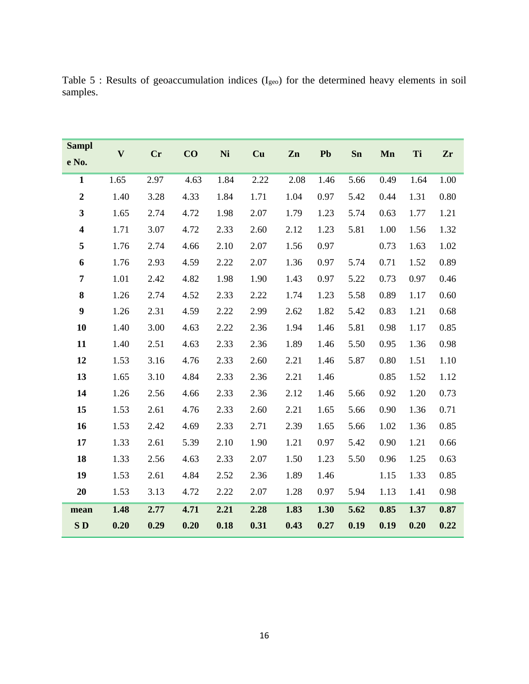| <b>Sampl</b>            | $\mathbf{V}$ | <b>Cr</b> | CO   | Ni   | Cu   | Zn   | Pb   | Sn   | Mn   | Ti   | Zr   |
|-------------------------|--------------|-----------|------|------|------|------|------|------|------|------|------|
| e No.                   |              |           |      |      |      |      |      |      |      |      |      |
| $\mathbf{1}$            | 1.65         | 2.97      | 4.63 | 1.84 | 2.22 | 2.08 | 1.46 | 5.66 | 0.49 | 1.64 | 1.00 |
| $\overline{2}$          | 1.40         | 3.28      | 4.33 | 1.84 | 1.71 | 1.04 | 0.97 | 5.42 | 0.44 | 1.31 | 0.80 |
| $\mathbf{3}$            | 1.65         | 2.74      | 4.72 | 1.98 | 2.07 | 1.79 | 1.23 | 5.74 | 0.63 | 1.77 | 1.21 |
| $\overline{\mathbf{4}}$ | 1.71         | 3.07      | 4.72 | 2.33 | 2.60 | 2.12 | 1.23 | 5.81 | 1.00 | 1.56 | 1.32 |
| 5                       | 1.76         | 2.74      | 4.66 | 2.10 | 2.07 | 1.56 | 0.97 |      | 0.73 | 1.63 | 1.02 |
| 6                       | 1.76         | 2.93      | 4.59 | 2.22 | 2.07 | 1.36 | 0.97 | 5.74 | 0.71 | 1.52 | 0.89 |
| $\overline{7}$          | 1.01         | 2.42      | 4.82 | 1.98 | 1.90 | 1.43 | 0.97 | 5.22 | 0.73 | 0.97 | 0.46 |
| $\bf 8$                 | 1.26         | 2.74      | 4.52 | 2.33 | 2.22 | 1.74 | 1.23 | 5.58 | 0.89 | 1.17 | 0.60 |
| $\boldsymbol{9}$        | 1.26         | 2.31      | 4.59 | 2.22 | 2.99 | 2.62 | 1.82 | 5.42 | 0.83 | 1.21 | 0.68 |
| 10                      | 1.40         | 3.00      | 4.63 | 2.22 | 2.36 | 1.94 | 1.46 | 5.81 | 0.98 | 1.17 | 0.85 |
| 11                      | 1.40         | 2.51      | 4.63 | 2.33 | 2.36 | 1.89 | 1.46 | 5.50 | 0.95 | 1.36 | 0.98 |
| 12                      | 1.53         | 3.16      | 4.76 | 2.33 | 2.60 | 2.21 | 1.46 | 5.87 | 0.80 | 1.51 | 1.10 |
| 13                      | 1.65         | 3.10      | 4.84 | 2.33 | 2.36 | 2.21 | 1.46 |      | 0.85 | 1.52 | 1.12 |
| 14                      | 1.26         | 2.56      | 4.66 | 2.33 | 2.36 | 2.12 | 1.46 | 5.66 | 0.92 | 1.20 | 0.73 |
| 15                      | 1.53         | 2.61      | 4.76 | 2.33 | 2.60 | 2.21 | 1.65 | 5.66 | 0.90 | 1.36 | 0.71 |
| 16                      | 1.53         | 2.42      | 4.69 | 2.33 | 2.71 | 2.39 | 1.65 | 5.66 | 1.02 | 1.36 | 0.85 |
| 17                      | 1.33         | 2.61      | 5.39 | 2.10 | 1.90 | 1.21 | 0.97 | 5.42 | 0.90 | 1.21 | 0.66 |
| 18                      | 1.33         | 2.56      | 4.63 | 2.33 | 2.07 | 1.50 | 1.23 | 5.50 | 0.96 | 1.25 | 0.63 |
| 19                      | 1.53         | 2.61      | 4.84 | 2.52 | 2.36 | 1.89 | 1.46 |      | 1.15 | 1.33 | 0.85 |
| 20                      | 1.53         | 3.13      | 4.72 | 2.22 | 2.07 | 1.28 | 0.97 | 5.94 | 1.13 | 1.41 | 0.98 |
| mean                    | 1.48         | 2.77      | 4.71 | 2.21 | 2.28 | 1.83 | 1.30 | 5.62 | 0.85 | 1.37 | 0.87 |
| SD <sub></sub>          | 0.20         | 0.29      | 0.20 | 0.18 | 0.31 | 0.43 | 0.27 | 0.19 | 0.19 | 0.20 | 0.22 |

Table 5 : Results of geoaccumulation indices (Igeo) for the determined heavy elements in soil samples.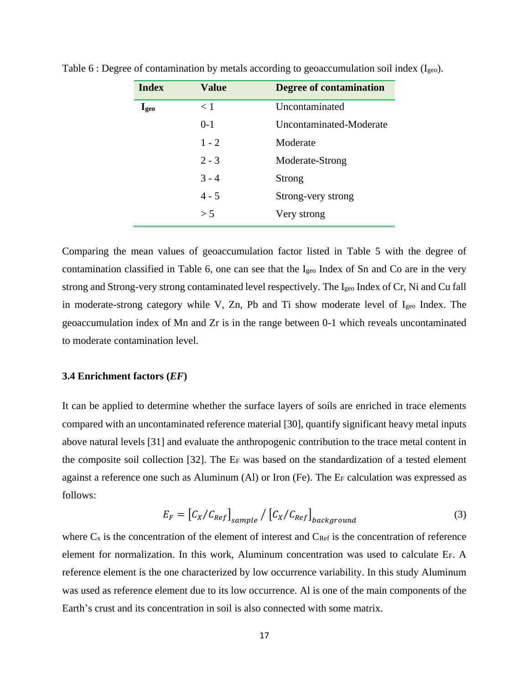| <b>Index</b>  | <b>Value</b> | <b>Degree of contamination</b> |
|---------------|--------------|--------------------------------|
| $I_{\rm geo}$ | < 1          | Uncontaminated                 |
|               | $0-1$        | Uncontaminated-Moderate        |
|               | $1 - 2$      | Moderate                       |
|               | $2 - 3$      | Moderate-Strong                |
|               | $3 - 4$      | Strong                         |
|               | $4 - 5$      | Strong-very strong             |
|               | > 5          | Very strong                    |

Table 6 : Degree of contamination by metals according to geoaccumulation soil index (Igeo).

Comparing the mean values of geoaccumulation factor listed in Table 5 with the degree of contamination classified in Table 6, one can see that the Igeo Index of Sn and Co are in the very strong and Strong-very strong contaminated level respectively. The  $I_{\text{geo}}$  Index of Cr, Ni and Cu fall in moderate-strong category while V, Zn, Pb and Ti show moderate level of Igeo Index. The geoaccumulation index of Mn and Zr is in the range between 0-1 which reveals uncontaminated to moderate contamination level.

#### **3.4 Enrichment factors (***EF***)**

It can be applied to determine whether the surface layers of soils are enriched in trace elements compared with an uncontaminated reference material [30], quantify significant heavy metal inputs above natural levels [31] and evaluate the anthropogenic contribution to the trace metal content in the composite soil collection [32]. The E<sup>F</sup> was based on the standardization of a tested element against a reference one such as Aluminum (Al) or Iron (Fe). The E<sup>F</sup> calculation was expressed as follows:

$$
E_F = \left[ C_X / C_{Ref} \right]_{sample} / \left[ C_X / C_{Ref} \right]_{background}
$$
 (3)

where  $C_x$  is the concentration of the element of interest and  $C_{Ref}$  is the concentration of reference element for normalization. In this work, Aluminum concentration was used to calculate EF. A reference element is the one characterized by low occurrence variability. In this study Aluminum was used as reference element due to its low occurrence. Al is one of the main components of the Earth's crust and its concentration in soil is also connected with some matrix.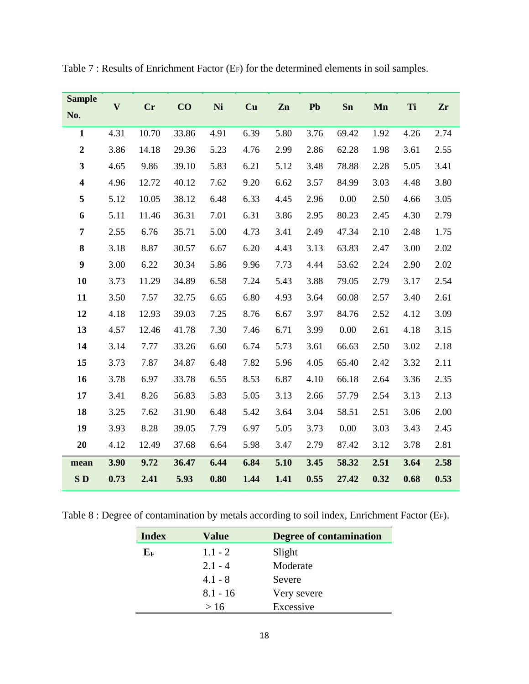| <b>Sample</b>           | $\bf{V}$ | <b>Cr</b> | CO    | Ni   | Cu   | Zn   | Pb   | Sn    | Mn   | Ti   | Zr   |
|-------------------------|----------|-----------|-------|------|------|------|------|-------|------|------|------|
| No.                     |          |           |       |      |      |      |      |       |      |      |      |
| $\mathbf{1}$            | 4.31     | 10.70     | 33.86 | 4.91 | 6.39 | 5.80 | 3.76 | 69.42 | 1.92 | 4.26 | 2.74 |
| $\overline{2}$          | 3.86     | 14.18     | 29.36 | 5.23 | 4.76 | 2.99 | 2.86 | 62.28 | 1.98 | 3.61 | 2.55 |
| 3                       | 4.65     | 9.86      | 39.10 | 5.83 | 6.21 | 5.12 | 3.48 | 78.88 | 2.28 | 5.05 | 3.41 |
| $\overline{\mathbf{4}}$ | 4.96     | 12.72     | 40.12 | 7.62 | 9.20 | 6.62 | 3.57 | 84.99 | 3.03 | 4.48 | 3.80 |
| 5                       | 5.12     | 10.05     | 38.12 | 6.48 | 6.33 | 4.45 | 2.96 | 0.00  | 2.50 | 4.66 | 3.05 |
| 6                       | 5.11     | 11.46     | 36.31 | 7.01 | 6.31 | 3.86 | 2.95 | 80.23 | 2.45 | 4.30 | 2.79 |
| 7                       | 2.55     | 6.76      | 35.71 | 5.00 | 4.73 | 3.41 | 2.49 | 47.34 | 2.10 | 2.48 | 1.75 |
| $\bf{8}$                | 3.18     | 8.87      | 30.57 | 6.67 | 6.20 | 4.43 | 3.13 | 63.83 | 2.47 | 3.00 | 2.02 |
| $\boldsymbol{9}$        | 3.00     | 6.22      | 30.34 | 5.86 | 9.96 | 7.73 | 4.44 | 53.62 | 2.24 | 2.90 | 2.02 |
| 10                      | 3.73     | 11.29     | 34.89 | 6.58 | 7.24 | 5.43 | 3.88 | 79.05 | 2.79 | 3.17 | 2.54 |
| 11                      | 3.50     | 7.57      | 32.75 | 6.65 | 6.80 | 4.93 | 3.64 | 60.08 | 2.57 | 3.40 | 2.61 |
| 12                      | 4.18     | 12.93     | 39.03 | 7.25 | 8.76 | 6.67 | 3.97 | 84.76 | 2.52 | 4.12 | 3.09 |
| 13                      | 4.57     | 12.46     | 41.78 | 7.30 | 7.46 | 6.71 | 3.99 | 0.00  | 2.61 | 4.18 | 3.15 |
| 14                      | 3.14     | 7.77      | 33.26 | 6.60 | 6.74 | 5.73 | 3.61 | 66.63 | 2.50 | 3.02 | 2.18 |
| 15                      | 3.73     | 7.87      | 34.87 | 6.48 | 7.82 | 5.96 | 4.05 | 65.40 | 2.42 | 3.32 | 2.11 |
| 16                      | 3.78     | 6.97      | 33.78 | 6.55 | 8.53 | 6.87 | 4.10 | 66.18 | 2.64 | 3.36 | 2.35 |
| 17                      | 3.41     | 8.26      | 56.83 | 5.83 | 5.05 | 3.13 | 2.66 | 57.79 | 2.54 | 3.13 | 2.13 |
| 18                      | 3.25     | 7.62      | 31.90 | 6.48 | 5.42 | 3.64 | 3.04 | 58.51 | 2.51 | 3.06 | 2.00 |
| 19                      | 3.93     | 8.28      | 39.05 | 7.79 | 6.97 | 5.05 | 3.73 | 0.00  | 3.03 | 3.43 | 2.45 |
| 20                      | 4.12     | 12.49     | 37.68 | 6.64 | 5.98 | 3.47 | 2.79 | 87.42 | 3.12 | 3.78 | 2.81 |
| mean                    | 3.90     | 9.72      | 36.47 | 6.44 | 6.84 | 5.10 | 3.45 | 58.32 | 2.51 | 3.64 | 2.58 |
| SD                      | 0.73     | 2.41      | 5.93  | 0.80 | 1.44 | 1.41 | 0.55 | 27.42 | 0.32 | 0.68 | 0.53 |
|                         |          |           |       |      |      |      |      |       |      |      |      |

Table 7 : Results of Enrichment Factor (EF) for the determined elements in soil samples.

Table 8 : Degree of contamination by metals according to soil index, Enrichment Factor (EF).

| <b>Index</b> | <b>Value</b> | <b>Degree of contamination</b> |
|--------------|--------------|--------------------------------|
| ${\bf E_F}$  | $1.1 - 2$    | Slight                         |
|              | $2.1 - 4$    | Moderate                       |
|              | $4.1 - 8$    | Severe                         |
|              | $8.1 - 16$   | Very severe                    |
|              | >16          | Excessive                      |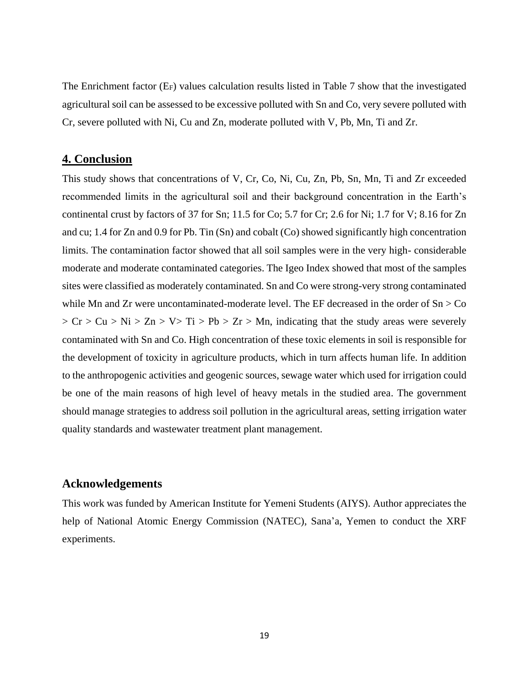The Enrichment factor (EF) values calculation results listed in Table 7 show that the investigated agricultural soil can be assessed to be excessive polluted with Sn and Co, very severe polluted with Cr, severe polluted with Ni, Cu and Zn, moderate polluted with V, Pb, Mn, Ti and Zr.

### **4. Conclusion**

This study shows that concentrations of V, Cr, Co, Ni, Cu, Zn, Pb, Sn, Mn, Ti and Zr exceeded recommended limits in the agricultural soil and their background concentration in the Earth's continental crust by factors of 37 for Sn; 11.5 for Co; 5.7 for Cr; 2.6 for Ni; 1.7 for V; 8.16 for Zn and cu; 1.4 for Zn and 0.9 for Pb. Tin (Sn) and cobalt (Co) showed significantly high concentration limits. The contamination factor showed that all soil samples were in the very high- considerable moderate and moderate contaminated categories. The Igeo Index showed that most of the samples sites were classified as moderately contaminated. Sn and Co were strong-very strong contaminated while Mn and Zr were uncontaminated-moderate level. The EF decreased in the order of  $Sn > Co$  $> Cr > Cu > Ni > Zn > V > Ti > Pb > Zr > Mn$ , indicating that the study areas were severely contaminated with Sn and Co. High concentration of these toxic elements in soil is responsible for the development of toxicity in agriculture products, which in turn affects human life. In addition to the anthropogenic activities and geogenic sources, sewage water which used for irrigation could be one of the main reasons of high level of heavy metals in the studied area. The government should manage strategies to address soil pollution in the agricultural areas, setting irrigation water quality standards and wastewater treatment plant management.

## **Acknowledgements**

This work was funded by American Institute for Yemeni Students (AIYS). Author appreciates the help of National Atomic Energy Commission (NATEC), Sana'a, Yemen to conduct the XRF experiments.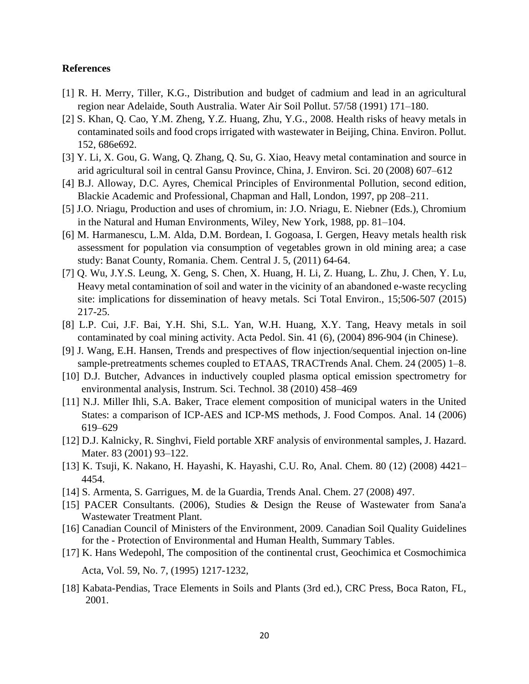#### **References**

- [1] R. H. Merry, Tiller, K.G., Distribution and budget of cadmium and lead in an agricultural region near Adelaide, South Australia. Water Air Soil Pollut. 57/58 (1991) 171–180.
- [2] S. Khan, Q. Cao, Y.M. Zheng, Y.Z. Huang, Zhu, Y.G., 2008. Health risks of heavy metals in contaminated soils and food crops irrigated with wastewater in Beijing, China. Environ. Pollut. 152, 686e692.
- [3] Y. Li, X. Gou, G. Wang, Q. Zhang, Q. Su, G. Xiao, Heavy metal contamination and source in arid agricultural soil in central Gansu Province, China, J. Environ. Sci. 20 (2008) 607–612
- [4] B.J. Alloway, D.C. Ayres, Chemical Principles of Environmental Pollution, second edition, Blackie Academic and Professional, Chapman and Hall, London, 1997, pp 208–211.
- [5] J.O. Nriagu, Production and uses of chromium, in: J.O. Nriagu, E. Niebner (Eds.), Chromium in the Natural and Human Environments, Wiley, New York, 1988, pp. 81–104.
- [6] M. Harmanescu, L.M. Alda, D.M. Bordean, I. Gogoasa, I. Gergen, Heavy metals health risk assessment for population via consumption of vegetables grown in old mining area; a case study: Banat County, Romania. Chem. Central J. 5, (2011) 64-64.
- [7] Q. Wu, J.Y.S. Leung, X. Geng, S. Chen, X. Huang, H. Li, Z. Huang, L. Zhu, J. Chen, Y. Lu, Heavy metal contamination of soil and water in the vicinity of an abandoned e-waste recycling site: implications for dissemination of heavy metals. [Sci Total Environ.,](https://www.ncbi.nlm.nih.gov/pubmed/25460954) 15;506-507 (2015) 217-25.
- [8] L.P. Cui, J.F. Bai, Y.H. Shi, S.L. Yan, W.H. Huang, X.Y. Tang, Heavy metals in soil contaminated by coal mining activity. Acta Pedol. Sin. 41 (6), (2004) 896-904 (in Chinese).
- [9] J. Wang, E.H. Hansen, Trends and prespectives of flow injection/sequential injection on-line sample-pretreatments schemes coupled to ETAAS, TRACTrends Anal. Chem. 24 (2005) 1–8.
- [10] D.J. Butcher, Advances in inductively coupled plasma optical emission spectrometry for environmental analysis, Instrum. Sci. Technol. 38 (2010) 458–469
- [11] N.J. Miller Ihli, S.A. Baker, Trace element composition of municipal waters in the United States: a comparison of ICP-AES and ICP-MS methods, J. Food Compos. Anal. 14 (2006) 619–629
- [12] D.J. Kalnicky, R. Singhvi, Field portable XRF analysis of environmental samples, J. Hazard. Mater. 83 (2001) 93–122.
- [13] K. Tsuji, K. Nakano, H. Hayashi, K. Hayashi, C.U. Ro, Anal. Chem. 80 (12) (2008) 4421– 4454.
- [14] S. Armenta, S. Garrigues, M. de la Guardia, Trends Anal. Chem. 27 (2008) 497.
- [15] PACER Consultants. (2006), Studies & Design the Reuse of Wastewater from Sana'a Wastewater Treatment Plant.
- [16] Canadian Council of Ministers of the Environment, 2009. Canadian Soil Quality Guidelines for the - Protection of Environmental and Human Health, Summary Tables.
- [17] K. Hans Wedepohl, The composition of the continental crust, Geochimica et Cosmochimica
	- Acta, Vol. 59, No. 7, (1995) 1217-1232,
- [18] Kabata-Pendias, Trace Elements in Soils and Plants (3rd ed.), CRC Press, Boca Raton, FL, 2001.